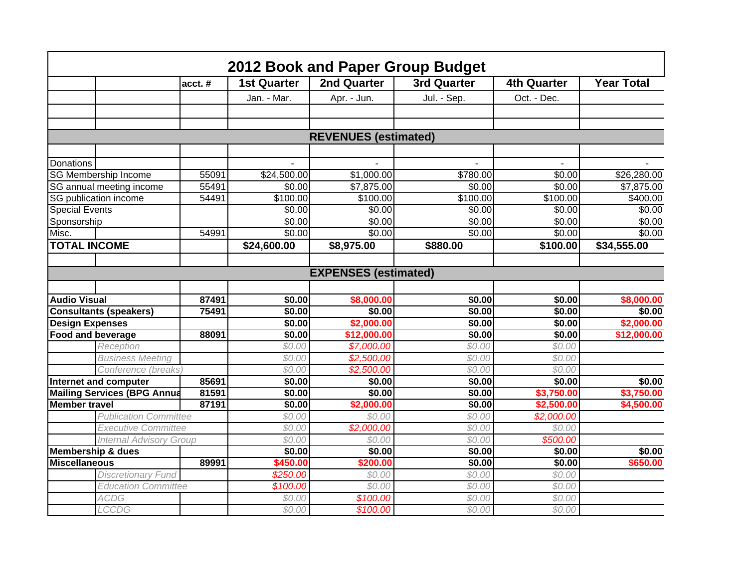|                                    |                                |        |                    |                             | 2012 Book and Paper Group Budget |                    |                   |
|------------------------------------|--------------------------------|--------|--------------------|-----------------------------|----------------------------------|--------------------|-------------------|
|                                    |                                | acct.# | <b>1st Quarter</b> | <b>2nd Quarter</b>          | <b>3rd Quarter</b>               | <b>4th Quarter</b> | <b>Year Total</b> |
|                                    |                                |        | Jan. - Mar.        | Apr. - Jun.                 | Jul. - Sep.                      | Oct. - Dec.        |                   |
|                                    |                                |        |                    |                             |                                  |                    |                   |
|                                    |                                |        |                    |                             |                                  |                    |                   |
|                                    |                                |        |                    | <b>REVENUES (estimated)</b> |                                  |                    |                   |
|                                    |                                |        |                    |                             |                                  |                    |                   |
| Donations                          |                                |        |                    |                             |                                  |                    |                   |
|                                    | SG Membership Income           | 55091  | \$24,500.00        | \$1,000.00                  | \$780.00                         | \$0.00             | \$26,280.00       |
|                                    | SG annual meeting income       | 55491  | \$0.00             | \$7,875.00                  | \$0.00                           | \$0.00             | \$7,875.00        |
|                                    | SG publication income          | 54491  | \$100.00           | \$100.00                    | \$100.00                         | \$100.00           | \$400.00          |
| Special Events                     |                                |        | \$0.00             | \$0.00                      | \$0.00                           | \$0.00             | $\sqrt{$0.00}$    |
| Sponsorship                        |                                |        | \$0.00             | \$0.00                      | \$0.00                           | \$0.00             | \$0.00            |
| Misc.                              |                                | 54991  | \$0.00             | \$0.00                      | \$0.00                           | \$0.00             | \$0.00            |
| <b>TOTAL INCOME</b>                |                                |        | \$24,600.00        | \$8,975.00                  | \$880.00                         | \$100.00           | \$34,555.00       |
|                                    |                                |        |                    |                             |                                  |                    |                   |
|                                    |                                |        |                    | <b>EXPENSES</b> (estimated) |                                  |                    |                   |
| <b>Audio Visual</b>                |                                | 87491  | \$0.00             | \$8,000.00                  | \$0.00                           | 30.00              | \$8,000.00        |
| <b>Consultants (speakers)</b>      |                                | 75491  | \$0.00             | \$0.00                      | \$0.00                           | \$0.00             | \$0.00            |
| <b>Design Expenses</b>             |                                |        | \$0.00             | \$2,000.00                  | \$0.00                           | \$0.00             | \$2,000.00        |
| <b>Food and beverage</b>           |                                | 88091  | \$0.00             | \$12,000.00                 | \$0.00                           | \$0.00             | \$12,000.00       |
|                                    | Reception                      |        | \$0.00             | \$7,000.00                  | \$0.00                           | \$0.00             |                   |
|                                    | <b>Business Meeting</b>        |        | \$0.00             | \$2,500.00                  | \$0.00                           | \$0.00             |                   |
|                                    | Conference (breaks)            |        | \$0.00             | \$2,500.00                  | \$0.00                           | \$0.00             |                   |
| Internet and computer              |                                | 85691  | $\sqrt{$0.00}$     | \$0.00                      | \$0.00                           | \$0.00             | \$0.00            |
| <b>Mailing Services (BPG Annua</b> |                                | 81591  | \$0.00             | \$0.00                      | \$0.00                           | \$3,750.00         | \$3,750.00        |
| <b>Member</b> travel               |                                | 87191  | \$0.00             | \$2,000.00                  | \$0.00                           | \$2,500.00         | \$4,500.00        |
|                                    | <b>Publication Committee</b>   |        | \$0.00             | \$0.00                      | \$0.00                           | \$2,000.00         |                   |
|                                    | <b>Executive Committee</b>     |        | \$0.00             | \$2,000.00                  | \$0.00                           | \$0.00             |                   |
|                                    | <b>Internal Advisory Group</b> |        | \$0.00             | \$0.00                      | \$0.00                           | \$500.00           |                   |
| Membership & dues                  |                                |        | \$0.00             | \$0.00                      | \$0.00                           | \$0.00             | \$0.00            |
| <b>Miscellaneous</b>               |                                | 89991  | \$450.00           | \$200.00                    | \$0.00                           | \$0.00             | \$650.00          |
|                                    | <b>Discretionary Fund</b>      |        | \$250.00           | \$0.00                      | \$0.00                           | \$0.00             |                   |
|                                    | <b>Education Committee</b>     |        | \$100.00           | \$0.00                      | \$0.00                           | \$0.00             |                   |
|                                    | <b>ACDG</b>                    |        | \$0.00             | \$100.00                    | \$0.00                           | \$0.00             |                   |
|                                    | <b>LCCDG</b>                   |        | \$0.00             | \$100.00                    | \$0.00                           | \$0.00             |                   |